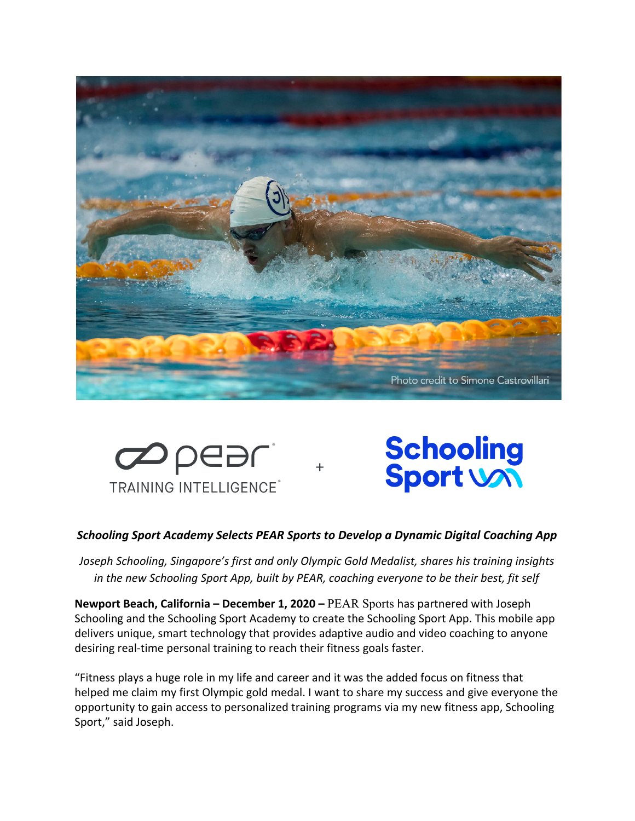



# **Schooling**<br>Sport Von

## *Schooling Sport Academy Selects PEAR Sports to Develop a Dynamic Digital Coaching App*

*Joseph Schooling, Singapore's first and only Olympic Gold Medalist, shares his training insights in the new Schooling Sport App, built by PEAR, coaching everyone to be their best, fit self*

**Newport Beach, California – December 1, 2020 –** [P](https://www.mioglobal.com/Default.aspx)EAR Sports has partnered with Joseph Schooling and the Schooling Sport Academy to create the Schooling Sport App. This mobile app delivers unique, smart technology that provides adaptive audio and video coaching to anyone desiring real-time personal training to reach their fitness goals faster.

"Fitness plays a huge role in my life and career and it was the added focus on fitness that helped me claim my first Olympic gold medal. I want to share my success and give everyone the opportunity to gain access to personalized training programs via my new fitness app, Schooling Sport," said Joseph.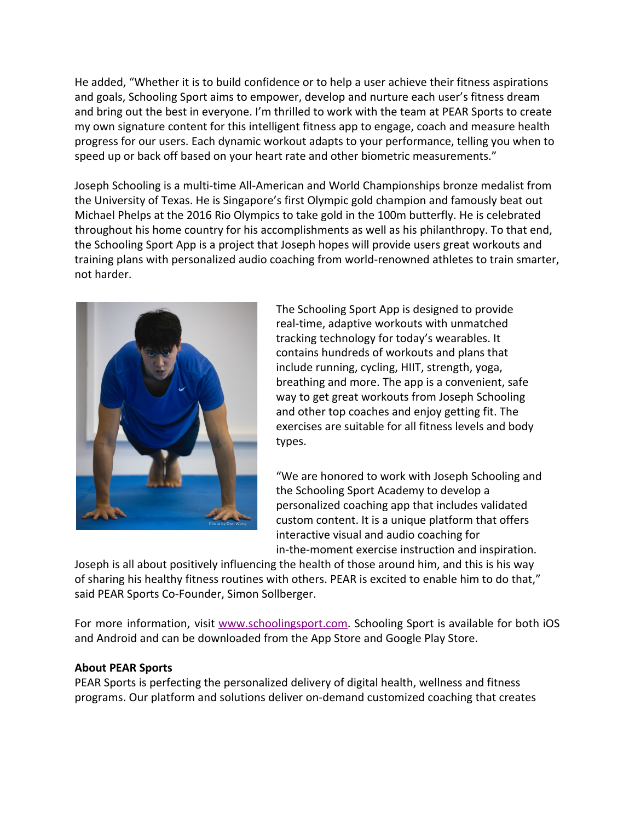He added, "Whether it is to build confidence or to help a user achieve their fitness aspirations and goals, Schooling Sport aims to empower, develop and nurture each user's fitness dream and bring out the best in everyone. I'm thrilled to work with the team at PEAR Sports to create my own signature content for this intelligent fitness app to engage, coach and measure health progress for our users. Each dynamic workout adapts to your performance, telling you when to speed up or back off based on your heart rate and other biometric measurements."

Joseph Schooling is a multi-time All-American and World Championships bronze medalist from the University of Texas. He is Singapore's first Olympic gold champion and famously beat out Michael Phelps at the 2016 Rio Olympics to take gold in the 100m butterfly. He is celebrated throughout his home country for his accomplishments as well as his philanthropy. To that end, the Schooling Sport App is a project that Joseph hopes will provide users great workouts and training plans with personalized audio coaching from world-renowned athletes to train smarter, not harder.



The Schooling Sport App is designed to provide real-time, adaptive workouts with unmatched tracking technology for today's wearables. It contains hundreds of workouts and plans that include running, cycling, HIIT, strength, yoga, breathing and more. The app is a convenient, safe way to get great workouts from Joseph Schooling and other top coaches and enjoy getting fit. The exercises are suitable for all fitness levels and body types.

"We are honored to work with Joseph Schooling and the Schooling Sport Academy to develop a personalized coaching app that includes validated custom content. It is a unique platform that offers interactive visual and audio coaching for in-the-moment exercise instruction and inspiration.

Joseph is all about positively influencing the health of those around him, and this is his way of sharing his healthy fitness routines with others. PEAR is excited to enable him to do that," said PEAR Sports Co-Founder, Simon Sollberger.

For more information, visi[t](http://www.schoolingsport.com/) [www.schoolingsport.com](http://www.schoolingsport.com/). Schooling Sport is available for both iOS and Android and can be downloaded from the App Store and Google Play Store.

### **About PEAR Sports**

PEAR Sports is perfecting the personalized delivery of digital health, wellness and fitness programs. Our platform and solutions deliver on-demand customized coaching that creates